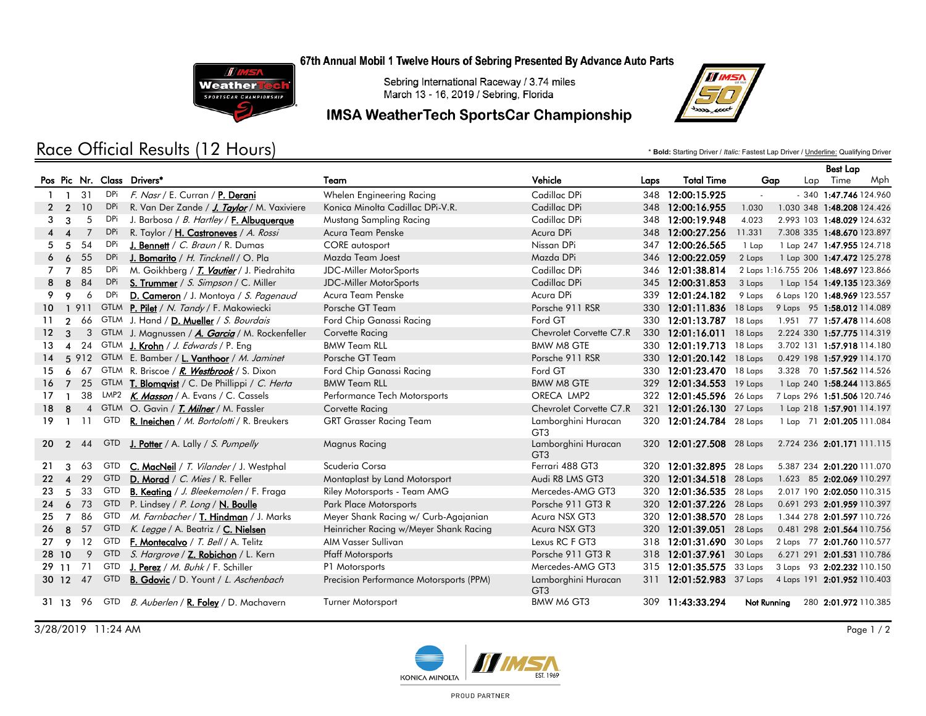#### 67th Annual Mobil 1 Twelve Hours of Sebring Presented By Advance Auto Parts



Sebring International Raceway / 3.74 miles March 13 - 16, 2019 / Sebring, Florida

## **IMSA WeatherTech SportsCar Championship**



Race Official Results (12 Hours)

\* **Bold:** Starting Driver / *Italic:* Fastest Lap Driver / Underline: Qualifying Driver

|                  |                        |      |            |                                                          |                                         |                                        |      |                          |             |                                      | <b>Best Lap</b>         |     |
|------------------|------------------------|------|------------|----------------------------------------------------------|-----------------------------------------|----------------------------------------|------|--------------------------|-------------|--------------------------------------|-------------------------|-----|
|                  |                        |      |            | Pos Pic Nr. Class Drivers*                               | Team                                    | Vehicle                                | Laps | <b>Total Time</b>        | Gap         |                                      | Lap Time                | Mph |
|                  | $\mathbf{1}$           | 31   | DPi        | F. Nasr / E. Curran / P. Derani                          | Whelen Engineering Racing               | Cadillac DPi                           |      | 348 12:00:15.925         |             |                                      | $-340$ 1:47.746 124.960 |     |
|                  | 2 <sub>2</sub>         | 10   | DPi        | R. Van Der Zande / J. Taylor / M. Vaxiviere              | Konica Minolta Cadillac DPi-V.R.        | Cadillac DPi                           | 348  | 12:00:16.955             | 1.030       | 1.030 348 1:48.208 124.426           |                         |     |
| 3                | 3                      | 5    | DPi        | J. Barbosa / B. Hartley / F. Albuquerque                 | Mustang Sampling Racing                 | Cadillac DPi                           | 348  | 12:00:19.948             | 4.023       | 2.993 103 1:48.029 124.632           |                         |     |
| 4                | $\boldsymbol{\Lambda}$ | 7    | DPi        | R. Taylor / H. Castroneves / A. Rossi                    | Acura Team Penske                       | Acura DPi                              |      | 348 12:00:27.256         | 11.331      | 7.308 335 1:48.670 123.897           |                         |     |
| 5                | -5                     | 54   | <b>DPi</b> | J. Bennett / C. Braun / R. Dumas                         | CORE autosport                          | Nissan DPi                             | 347  | 12:00:26.565             | 1 Lap       | 1 Lap 247 1:47.955 124.718           |                         |     |
| 6                | 6                      | 55   | <b>DPi</b> | J. Bomarito / H. Tincknell / O. Pla                      | Mazda Team Joest                        | Mazda DPi                              | 346  | 12:00:22.059             | 2 Laps      | 1 Lap 300 1:47.472 125.278           |                         |     |
|                  | 7                      | 85   | DPi        | M. Goikhberg / <b>T. Vautier</b> / J. Piedrahita         | <b>JDC-Miller MotorSports</b>           | Cadillac DPi                           | 346  | 12:01:38.814             |             | 2 Laps 1:16.755 206 1:48.697 123.866 |                         |     |
| 8                | 8                      | 84   | DPi        | S. Trummer / S. Simpson / C. Miller                      | <b>JDC-Miller MotorSports</b>           | Cadillac DPi                           | 345  | 12:00:31.853             | 3 Laps      | 1 Lap 154 1:49.135 123.369           |                         |     |
| 9.               | 9                      | 6    | DPi        | D. Cameron / J. Montoya / S. Pagenaud                    | Acura Team Penske                       | Acura DPi                              | 339  | 12:01:24.182             | 9 Laps      | 6 Laps 120 1:48.969 123.557          |                         |     |
| $10^{\circ}$     |                        | 1911 |            | GTLM P. Pilet / N. Tandy / F. Makowiecki                 | Porsche GT Team                         | Porsche 911 RSR                        | 330  | 12:01:11.836             | 18 Laps     | 9 Laps 95 1:58.012 114.089           |                         |     |
| 11               | $\mathcal{P}$          | 66   |            | GTLM J. Hand / D. Mueller / S. Bourdais                  | Ford Chip Ganassi Racing                | Ford GT                                | 330  | 12:01:13.787             | 18 Laps     | 1.951 77 1:57.478 114.608            |                         |     |
| 12 <sup>12</sup> | $\mathcal{R}$          |      |            | 3 GTLM J. Magnussen / A. Garcia / M. Rockenfeller        | Corvette Racing                         | Chevrolet Corvette C7.R                |      | 330 12:01:16.011         | 18 Laps     | 2.224 330 1:57.775 114.319           |                         |     |
| 13.              |                        |      |            | 24 GTLM J. Krohn / J. Edwards / P. Eng                   | <b>BMW Team RLL</b>                     | <b>BMW M8 GTE</b>                      | 330- | $12:01:19.713$ 18 Laps   |             | 3.702 131 1:57.918 114.180           |                         |     |
| 14               |                        |      |            | 5 912 GTLM E. Bamber / L. Vanthoor / M. Jaminet          | Porsche GT Team                         | Porsche 911 RSR                        |      | 330 12:01:20.142 18 Laps |             | 0.429 198 1:57.929 114.170           |                         |     |
| 15.              | 6                      |      |            | 67 GTLM R. Briscoe / R. Westbrook / S. Dixon             | Ford Chip Ganassi Racing                | Ford GT                                | 330  | 12:01:23.470             | 18 Laps     | 3.328 70 1:57.562 114.526            |                         |     |
| 16               | $\overline{7}$         |      |            | 25 GTLM <b>T. Blomqvist</b> / C. De Phillippi / C. Herta | <b>BMW Team RLL</b>                     | <b>BMW M8 GTE</b>                      | 329  | 12:01:34.553 19 Laps     |             | 1 Lap 240 1:58.244 113.865           |                         |     |
| 17               |                        |      |            | 38 LMP2 K. Masson / A. Evans / C. Cassels                | Performance Tech Motorsports            | ORECA LMP2                             | 322  | 12:01:45.596             | 26 Laps     | 7 Laps 296 1:51.506 120.746          |                         |     |
| 18               | 8                      |      |            | 4 GTLM O. Gavin / T. Milner / M. Fassler                 | Corvette Racing                         | Chevrolet Corvette C7.R                |      | 321 12:01:26.130         | 27 Laps     | 1 Lap 218 1:57.901 114.197           |                         |     |
| 19.              |                        | -11  | GTD        | R. Ineichen / M. Bortolotti / R. Breukers                | <b>GRT Grasser Racing Team</b>          | Lamborghini Huracan<br>GT3             |      | 320 12:01:24.784         | 28 Laps     | 1 Lap 71 2:01.205 111.084            |                         |     |
|                  | $20 \quad 2$           | 44   | GTD        | <b>J. Potter</b> / A. Lally / S. Pumpelly                | Magnus Racing                           | Lamborghini Huracan<br>GT <sub>3</sub> |      | 320 12:01:27.508 28 Laps |             | 2.724 236 2:01.171 111.115           |                         |     |
| 21               | 3                      | 63   | <b>GTD</b> | C. MacNeil / T. Vilander / J. Westphal                   | Scuderia Corsa                          | Ferrari 488 GT3                        |      | 320 12:01:32.895 28 Laps |             | 5.387 234 2:01.220 111.070           |                         |     |
| 22               | $\boldsymbol{\Lambda}$ | 29   | <b>GTD</b> | D. Morad / C. Mies / R. Feller                           | Montaplast by Land Motorsport           | Audi R8 LMS GT3                        | 320  | 12:01:34.518 28 Laps     |             | 1.623 85 2:02.069 110.297            |                         |     |
| 23               | 5                      | 33   | <b>GTD</b> | <b>B. Keating</b> / <i>J. Bleekemolen</i> / F. Fraga     | Riley Motorsports - Team AMG            | Mercedes-AMG GT3                       | 320  | 12:01:36.535 28 Laps     |             | 2.017 190 2:02.050 110.315           |                         |     |
|                  | 24 6                   | 73   | <b>GTD</b> | P. Lindsey / P. Long / N. Boulle                         | <b>Park Place Motorsports</b>           | Porsche 911 GT3 R                      | 320  | 12:01:37.226 28 Laps     |             | 0.691 293 2:01.959 110.397           |                         |     |
| 25               | $\overline{7}$         | 86   | GTD        | M. Farnbacher / T. Hindman / J. Marks                    | Meyer Shank Racing w/ Curb-Agajanian    | Acura NSX GT3                          | 320  | 12:01:38.570             | 28 Laps     | 1.344 278 2:01.597 110.726           |                         |     |
| 26               | 8                      | 57   | <b>GTD</b> | K. Legge / A. Beatriz / C. Nielsen                       | Heinricher Racing w/Meyer Shank Racing  | Acura NSX GT3                          | 320  | 12:01:39.051             | 28 Laps     | 0.481 298 2:01.564 110.756           |                         |     |
| 27               | 9                      | 12   | <b>GTD</b> | F. Montecalvo / T. Bell / A. Telitz                      | AIM Vasser Sullivan                     | Lexus RC F GT3                         | 318  | 12:01:31.690             | 30 Laps     | 2 Laps 77 2:01.760 110.577           |                         |     |
|                  | 28 10                  | 9    | <b>GTD</b> | S. Hargrove / Z. Robichon / L. Kern                      | <b>Pfaff Motorsports</b>                | Porsche 911 GT3 R                      | 318  | 12:01:37.961             | 30 Laps     | 6.271 291 2:01.531 110.786           |                         |     |
|                  | 29 11                  | 71   | <b>GTD</b> | <b>J. Perez</b> / <i>M. Buhk</i> / F. Schiller           | P1 Motorsports                          | Mercedes-AMG GT3                       | 315  | 12:01:35.575             | 33 Laps     | 3 Laps 93 2:02.232 110.150           |                         |     |
|                  | 30 12                  | 47   | <b>GTD</b> | <b>B. Gdovic</b> / D. Yount / L. Aschenbach              | Precision Performance Motorsports (PPM) | Lamborghini Huracan<br>GT <sub>3</sub> |      | 311 12:01:52.983 37 Laps |             | 4 Laps 191 2:01.952 110.403          |                         |     |
|                  | 31 13                  | 96   |            | GTD <i>B. Auberlen</i> / <b>R. Foley</b> / D. Machavern  | Turner Motorsport                       | BMW M6 GT3                             |      | 309 11:43:33.294         | Not Running |                                      | 280 2:01.972 110.385    |     |

3/28/2019 11:24 AM Page 1 / 2



PROUD PARTNER